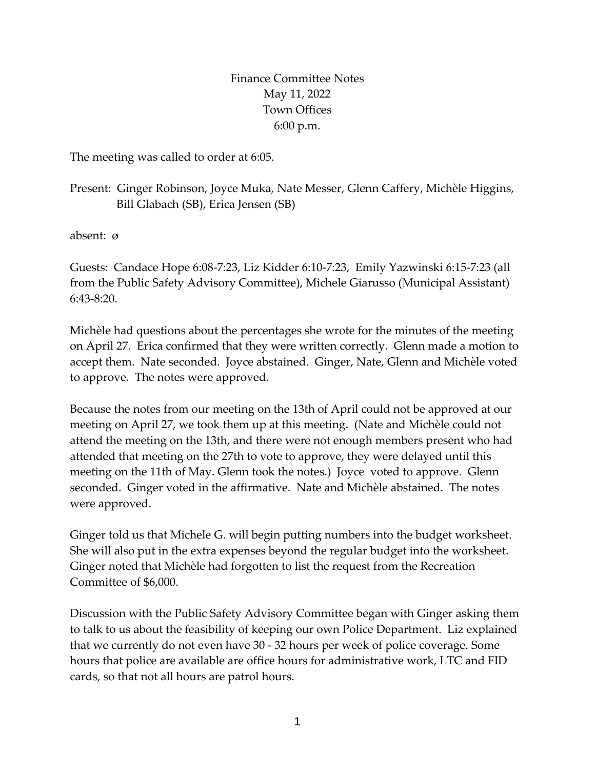Finance Committee Notes May 11, 2022 Town Offices 6:00 p.m.

The meeting was called to order at 6:05.

Present: Ginger Robinson, Joyce Muka, Nate Messer, Glenn Caffery, Michèle Higgins, Bill Glabach (SB), Erica Jensen (SB)

absent: ø

Guests: Candace Hope 6:08-7:23, Liz Kidder 6:10-7:23, Emily Yazwinski 6:15-7:23 (all from the Public Safety Advisory Committee), Michele Giarusso (Municipal Assistant) 6:43-8:20.

Michèle had questions about the percentages she wrote for the minutes of the meeting on April 27. Erica confirmed that they were written correctly. Glenn made a motion to accept them. Nate seconded. Joyce abstained. Ginger, Nate, Glenn and Michèle voted to approve. The notes were approved.

Because the notes from our meeting on the 13th of April could not be approved at our meeting on April 27, we took them up at this meeting. (Nate and Michèle could not attend the meeting on the 13th, and there were not enough members present who had attended that meeting on the 27th to vote to approve, they were delayed until this meeting on the 11th of May. Glenn took the notes.) Joyce voted to approve. Glenn seconded. Ginger voted in the affirmative. Nate and Michèle abstained. The notes were approved.

Ginger told us that Michele G. will begin putting numbers into the budget worksheet. She will also put in the extra expenses beyond the regular budget into the worksheet. Ginger noted that Michèle had forgotten to list the request from the Recreation Committee of \$6,000.

Discussion with the Public Safety Advisory Committee began with Ginger asking them to talk to us about the feasibility of keeping our own Police Department. Liz explained that we currently do not even have 30 - 32 hours per week of police coverage. Some hours that police are available are office hours for administrative work, LTC and FID cards, so that not all hours are patrol hours.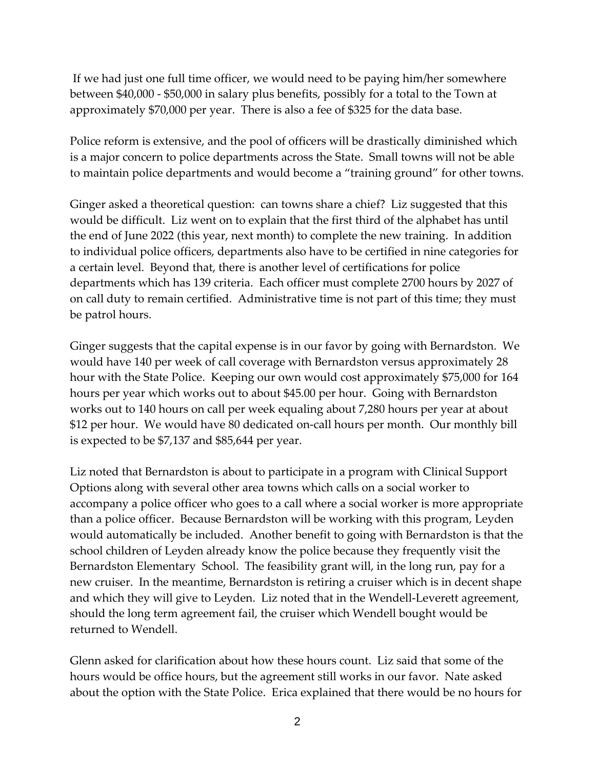If we had just one full time officer, we would need to be paying him/her somewhere between \$40,000 - \$50,000 in salary plus benefits, possibly for a total to the Town at approximately \$70,000 per year. There is also a fee of \$325 for the data base.

Police reform is extensive, and the pool of officers will be drastically diminished which is a major concern to police departments across the State. Small towns will not be able to maintain police departments and would become a "training ground" for other towns.

Ginger asked a theoretical question: can towns share a chief? Liz suggested that this would be difficult. Liz went on to explain that the first third of the alphabet has until the end of June 2022 (this year, next month) to complete the new training. In addition to individual police officers, departments also have to be certified in nine categories for a certain level. Beyond that, there is another level of certifications for police departments which has 139 criteria. Each officer must complete 2700 hours by 2027 of on call duty to remain certified. Administrative time is not part of this time; they must be patrol hours.

Ginger suggests that the capital expense is in our favor by going with Bernardston. We would have 140 per week of call coverage with Bernardston versus approximately 28 hour with the State Police. Keeping our own would cost approximately \$75,000 for 164 hours per year which works out to about \$45.00 per hour. Going with Bernardston works out to 140 hours on call per week equaling about 7,280 hours per year at about \$12 per hour. We would have 80 dedicated on-call hours per month. Our monthly bill is expected to be \$7,137 and \$85,644 per year.

Liz noted that Bernardston is about to participate in a program with Clinical Support Options along with several other area towns which calls on a social worker to accompany a police officer who goes to a call where a social worker is more appropriate than a police officer. Because Bernardston will be working with this program, Leyden would automatically be included. Another benefit to going with Bernardston is that the school children of Leyden already know the police because they frequently visit the Bernardston Elementary School. The feasibility grant will, in the long run, pay for a new cruiser. In the meantime, Bernardston is retiring a cruiser which is in decent shape and which they will give to Leyden. Liz noted that in the Wendell-Leverett agreement, should the long term agreement fail, the cruiser which Wendell bought would be returned to Wendell.

Glenn asked for clarification about how these hours count. Liz said that some of the hours would be office hours, but the agreement still works in our favor. Nate asked about the option with the State Police. Erica explained that there would be no hours for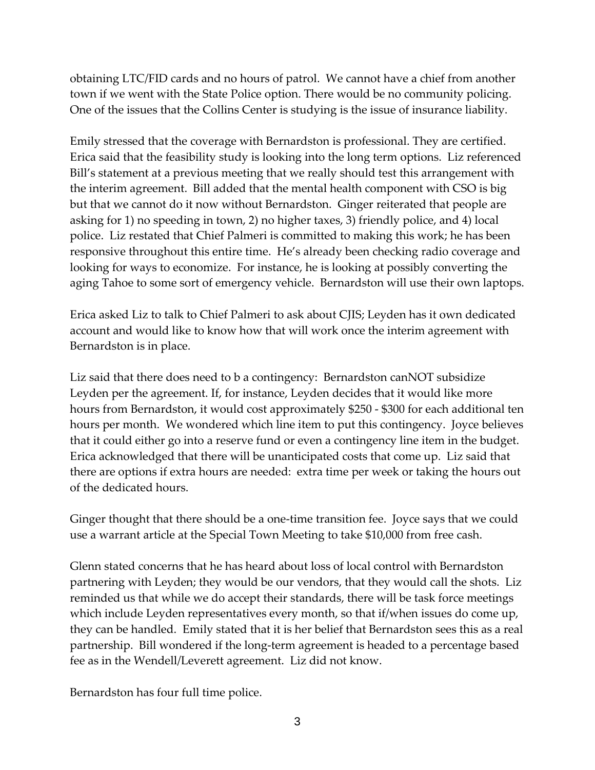obtaining LTC/FID cards and no hours of patrol. We cannot have a chief from another town if we went with the State Police option. There would be no community policing. One of the issues that the Collins Center is studying is the issue of insurance liability.

Emily stressed that the coverage with Bernardston is professional. They are certified. Erica said that the feasibility study is looking into the long term options. Liz referenced Bill's statement at a previous meeting that we really should test this arrangement with the interim agreement. Bill added that the mental health component with CSO is big but that we cannot do it now without Bernardston. Ginger reiterated that people are asking for 1) no speeding in town, 2) no higher taxes, 3) friendly police, and 4) local police. Liz restated that Chief Palmeri is committed to making this work; he has been responsive throughout this entire time. He's already been checking radio coverage and looking for ways to economize. For instance, he is looking at possibly converting the aging Tahoe to some sort of emergency vehicle. Bernardston will use their own laptops.

Erica asked Liz to talk to Chief Palmeri to ask about CJIS; Leyden has it own dedicated account and would like to know how that will work once the interim agreement with Bernardston is in place.

Liz said that there does need to b a contingency: Bernardston canNOT subsidize Leyden per the agreement. If, for instance, Leyden decides that it would like more hours from Bernardston, it would cost approximately \$250 - \$300 for each additional ten hours per month. We wondered which line item to put this contingency. Joyce believes that it could either go into a reserve fund or even a contingency line item in the budget. Erica acknowledged that there will be unanticipated costs that come up. Liz said that there are options if extra hours are needed: extra time per week or taking the hours out of the dedicated hours.

Ginger thought that there should be a one-time transition fee. Joyce says that we could use a warrant article at the Special Town Meeting to take \$10,000 from free cash.

Glenn stated concerns that he has heard about loss of local control with Bernardston partnering with Leyden; they would be our vendors, that they would call the shots. Liz reminded us that while we do accept their standards, there will be task force meetings which include Leyden representatives every month, so that if/when issues do come up, they can be handled. Emily stated that it is her belief that Bernardston sees this as a real partnership. Bill wondered if the long-term agreement is headed to a percentage based fee as in the Wendell/Leverett agreement. Liz did not know.

Bernardston has four full time police.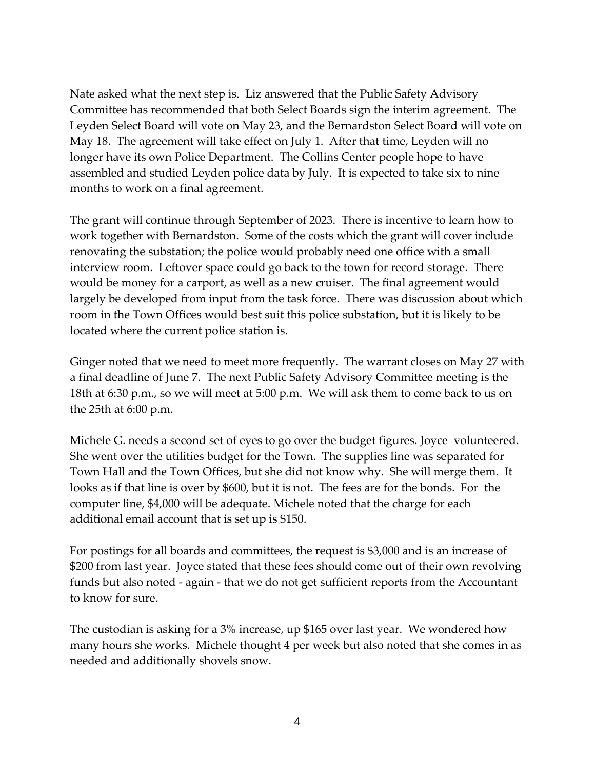Nate asked what the next step is. Liz answered that the Public Safety Advisory Committee has recommended that both Select Boards sign the interim agreement. The Leyden Select Board will vote on May 23, and the Bernardston Select Board will vote on May 18. The agreement will take effect on July 1. After that time, Leyden will no longer have its own Police Department. The Collins Center people hope to have assembled and studied Leyden police data by July. It is expected to take six to nine months to work on a final agreement.

The grant will continue through September of 2023. There is incentive to learn how to work together with Bernardston. Some of the costs which the grant will cover include renovating the substation; the police would probably need one office with a small interview room. Leftover space could go back to the town for record storage. There would be money for a carport, as well as a new cruiser. The final agreement would largely be developed from input from the task force. There was discussion about which room in the Town Offices would best suit this police substation, but it is likely to be located where the current police station is.

Ginger noted that we need to meet more frequently. The warrant closes on May 27 with a final deadline of June 7. The next Public Safety Advisory Committee meeting is the 18th at 6:30 p.m., so we will meet at 5:00 p.m. We will ask them to come back to us on the 25th at 6:00 p.m.

Michele G. needs a second set of eyes to go over the budget figures. Joyce volunteered. She went over the utilities budget for the Town. The supplies line was separated for Town Hall and the Town Offices, but she did not know why. She will merge them. It looks as if that line is over by \$600, but it is not. The fees are for the bonds. For the computer line, \$4,000 will be adequate. Michele noted that the charge for each additional email account that is set up is \$150.

For postings for all boards and committees, the request is \$3,000 and is an increase of \$200 from last year. Joyce stated that these fees should come out of their own revolving funds but also noted - again - that we do not get sufficient reports from the Accountant to know for sure.

The custodian is asking for a 3% increase, up \$165 over last year. We wondered how many hours she works. Michele thought 4 per week but also noted that she comes in as needed and additionally shovels snow.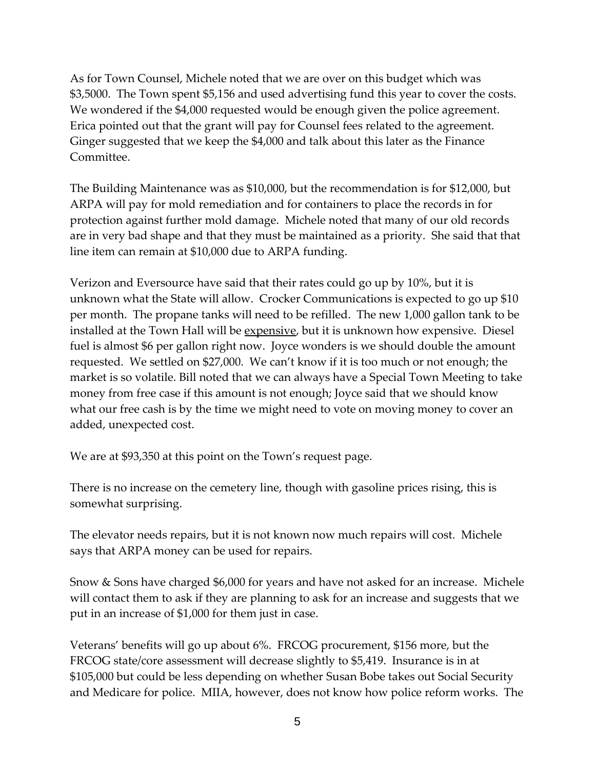As for Town Counsel, Michele noted that we are over on this budget which was \$3,5000. The Town spent \$5,156 and used advertising fund this year to cover the costs. We wondered if the \$4,000 requested would be enough given the police agreement. Erica pointed out that the grant will pay for Counsel fees related to the agreement. Ginger suggested that we keep the \$4,000 and talk about this later as the Finance Committee.

The Building Maintenance was as \$10,000, but the recommendation is for \$12,000, but ARPA will pay for mold remediation and for containers to place the records in for protection against further mold damage. Michele noted that many of our old records are in very bad shape and that they must be maintained as a priority. She said that that line item can remain at \$10,000 due to ARPA funding.

Verizon and Eversource have said that their rates could go up by 10%, but it is unknown what the State will allow. Crocker Communications is expected to go up \$10 per month. The propane tanks will need to be refilled. The new 1,000 gallon tank to be installed at the Town Hall will be expensive, but it is unknown how expensive. Diesel fuel is almost \$6 per gallon right now. Joyce wonders is we should double the amount requested. We settled on \$27,000. We can't know if it is too much or not enough; the market is so volatile. Bill noted that we can always have a Special Town Meeting to take money from free case if this amount is not enough; Joyce said that we should know what our free cash is by the time we might need to vote on moving money to cover an added, unexpected cost.

We are at \$93,350 at this point on the Town's request page.

There is no increase on the cemetery line, though with gasoline prices rising, this is somewhat surprising.

The elevator needs repairs, but it is not known now much repairs will cost. Michele says that ARPA money can be used for repairs.

Snow & Sons have charged \$6,000 for years and have not asked for an increase. Michele will contact them to ask if they are planning to ask for an increase and suggests that we put in an increase of \$1,000 for them just in case.

Veterans' benefits will go up about 6%. FRCOG procurement, \$156 more, but the FRCOG state/core assessment will decrease slightly to \$5,419. Insurance is in at \$105,000 but could be less depending on whether Susan Bobe takes out Social Security and Medicare for police. MIIA, however, does not know how police reform works. The